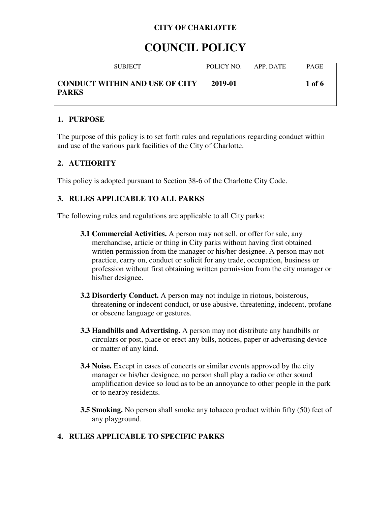# **COUNCIL POLICY**

| <b>SUBJECT</b>                                        | POLICY NO. | APP DATE | <b>PAGE</b> |
|-------------------------------------------------------|------------|----------|-------------|
| <b>CONDUCT WITHIN AND USE OF CITY</b><br><b>PARKS</b> | 2019-01    |          | 1 of 6      |

# **1. PURPOSE**

The purpose of this policy is to set forth rules and regulations regarding conduct within and use of the various park facilities of the City of Charlotte.

# **2. AUTHORITY**

This policy is adopted pursuant to Section 38-6 of the Charlotte City Code.

# **3. RULES APPLICABLE TO ALL PARKS**

The following rules and regulations are applicable to all City parks:

- **3.1 Commercial Activities.** A person may not sell, or offer for sale, any merchandise, article or thing in City parks without having first obtained written permission from the manager or his/her designee. A person may not practice, carry on, conduct or solicit for any trade, occupation, business or profession without first obtaining written permission from the city manager or his/her designee.
- **3.2 Disorderly Conduct.** A person may not indulge in riotous, boisterous, threatening or indecent conduct, or use abusive, threatening, indecent, profane or obscene language or gestures.
- **3.3 Handbills and Advertising.** A person may not distribute any handbills or circulars or post, place or erect any bills, notices, paper or advertising device or matter of any kind.
- **3.4 Noise.** Except in cases of concerts or similar events approved by the city manager or his/her designee, no person shall play a radio or other sound amplification device so loud as to be an annoyance to other people in the park or to nearby residents.
- **3.5 Smoking.** No person shall smoke any tobacco product within fifty (50) feet of any playground.

# **4. RULES APPLICABLE TO SPECIFIC PARKS**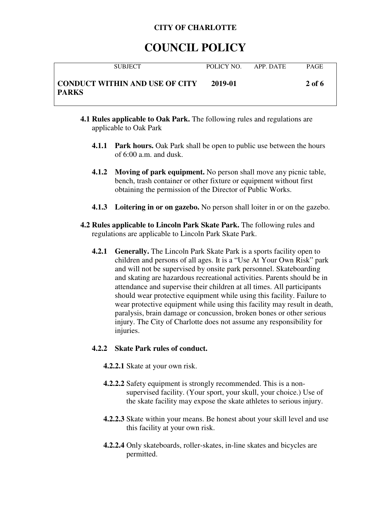# **COUNCIL POLICY**

| <b>SUBJECT</b>                                        | POLICY NO. | APP. DATE | <b>PAGE</b> |
|-------------------------------------------------------|------------|-----------|-------------|
| <b>CONDUCT WITHIN AND USE OF CITY</b><br><b>PARKS</b> | 2019-01    |           | 2 of 6      |

- **4.1 Rules applicable to Oak Park.** The following rules and regulations are applicable to Oak Park
	- **4.1.1 Park hours.** Oak Park shall be open to public use between the hours of 6:00 a.m. and dusk.
	- **4.1.2 Moving of park equipment.** No person shall move any picnic table, bench, trash container or other fixture or equipment without first obtaining the permission of the Director of Public Works.
	- **4.1.3 Loitering in or on gazebo.** No person shall loiter in or on the gazebo.
- **4.2 Rules applicable to Lincoln Park Skate Park.** The following rules and regulations are applicable to Lincoln Park Skate Park.
	- **4.2.1 Generally.** The Lincoln Park Skate Park is a sports facility open to children and persons of all ages. It is a "Use At Your Own Risk" park and will not be supervised by onsite park personnel. Skateboarding and skating are hazardous recreational activities. Parents should be in attendance and supervise their children at all times. All participants should wear protective equipment while using this facility. Failure to wear protective equipment while using this facility may result in death, paralysis, brain damage or concussion, broken bones or other serious injury. The City of Charlotte does not assume any responsibility for injuries.

# **4.2.2 Skate Park rules of conduct.**

- **4.2.2.1** Skate at your own risk.
- **4.2.2.2** Safety equipment is strongly recommended. This is a nonsupervised facility. (Your sport, your skull, your choice.) Use of the skate facility may expose the skate athletes to serious injury.
- **4.2.2.3** Skate within your means. Be honest about your skill level and use this facility at your own risk.
- **4.2.2.4** Only skateboards, roller-skates, in-line skates and bicycles are permitted.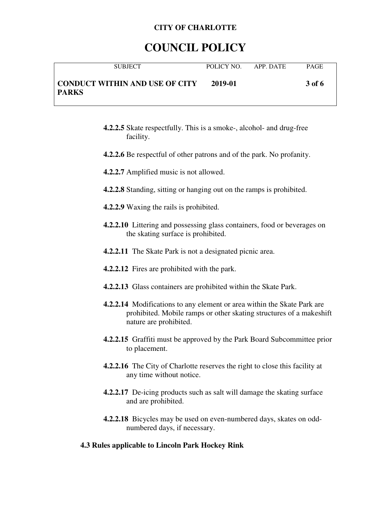# **COUNCIL POLICY**

| <b>SUBJECT</b>                                        | POLICY NO | APP. DATE | <b>PAGE</b> |
|-------------------------------------------------------|-----------|-----------|-------------|
| <b>CONDUCT WITHIN AND USE OF CITY</b><br><b>PARKS</b> | 2019-01   |           | 3 of 6      |

- **4.2.2.5** Skate respectfully. This is a smoke-, alcohol- and drug-free facility.
- **4.2.2.6** Be respectful of other patrons and of the park. No profanity.
- **4.2.2.7** Amplified music is not allowed.
- **4.2.2.8** Standing, sitting or hanging out on the ramps is prohibited.
- **4.2.2.9** Waxing the rails is prohibited.
- **4.2.2.10** Littering and possessing glass containers, food or beverages on the skating surface is prohibited.
- **4.2.2.11** The Skate Park is not a designated picnic area.
- **4.2.2.12** Fires are prohibited with the park.
- **4.2.2.13** Glass containers are prohibited within the Skate Park.
- **4.2.2.14** Modifications to any element or area within the Skate Park are prohibited. Mobile ramps or other skating structures of a makeshift nature are prohibited.
- **4.2.2.15** Graffiti must be approved by the Park Board Subcommittee prior to placement.
- **4.2.2.16** The City of Charlotte reserves the right to close this facility at any time without notice.
- **4.2.2.17** De-icing products such as salt will damage the skating surface and are prohibited.
- **4.2.2.18** Bicycles may be used on even-numbered days, skates on oddnumbered days, if necessary.

#### **4.3 Rules applicable to Lincoln Park Hockey Rink**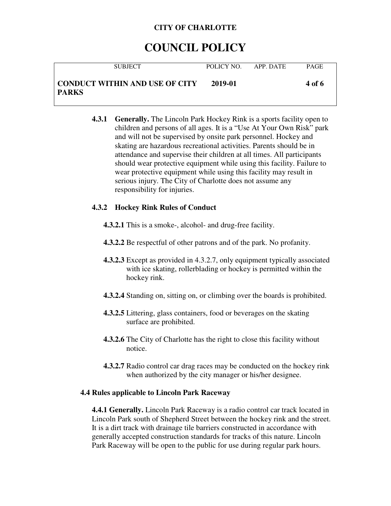# **COUNCIL POLICY**

| <b>SUBJECT</b>                                        | POLICY NO | APP DATE | <b>PAGE</b>   |
|-------------------------------------------------------|-----------|----------|---------------|
| <b>CONDUCT WITHIN AND USE OF CITY</b><br><b>PARKS</b> | 2019-01   |          | <b>4 of 6</b> |

**4.3.1 Generally.** The Lincoln Park Hockey Rink is a sports facility open to children and persons of all ages. It is a "Use At Your Own Risk" park and will not be supervised by onsite park personnel. Hockey and skating are hazardous recreational activities. Parents should be in attendance and supervise their children at all times. All participants should wear protective equipment while using this facility. Failure to wear protective equipment while using this facility may result in serious injury. The City of Charlotte does not assume any responsibility for injuries.

### **4.3.2 Hockey Rink Rules of Conduct**

- **4.3.2.1** This is a smoke-, alcohol- and drug-free facility.
- **4.3.2.2** Be respectful of other patrons and of the park. No profanity.
- **4.3.2.3** Except as provided in 4.3.2.7, only equipment typically associated with ice skating, rollerblading or hockey is permitted within the hockey rink.
- **4.3.2.4** Standing on, sitting on, or climbing over the boards is prohibited.
- **4.3.2.5** Littering, glass containers, food or beverages on the skating surface are prohibited.
- **4.3.2.6** The City of Charlotte has the right to close this facility without notice.
- **4.3.2.7** Radio control car drag races may be conducted on the hockey rink when authorized by the city manager or his/her designee.

#### **4.4 Rules applicable to Lincoln Park Raceway**

**4.4.1 Generally.** Lincoln Park Raceway is a radio control car track located in Lincoln Park south of Shepherd Street between the hockey rink and the street. It is a dirt track with drainage tile barriers constructed in accordance with generally accepted construction standards for tracks of this nature. Lincoln Park Raceway will be open to the public for use during regular park hours.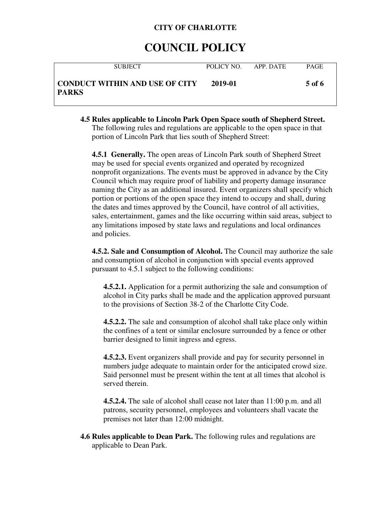# **COUNCIL POLICY**

| <b>SUBJECT</b>                                 | POLICY NO. | APP DATE | <b>PAGE</b> |
|------------------------------------------------|------------|----------|-------------|
| CONDUCT WITHIN AND USE OF CITY<br><b>PARKS</b> | 2019-01    |          | 5 of 6      |

**4.5 Rules applicable to Lincoln Park Open Space south of Shepherd Street.** The following rules and regulations are applicable to the open space in that portion of Lincoln Park that lies south of Shepherd Street:

**4.5.1 Generally.** The open areas of Lincoln Park south of Shepherd Street may be used for special events organized and operated by recognized nonprofit organizations. The events must be approved in advance by the City Council which may require proof of liability and property damage insurance naming the City as an additional insured. Event organizers shall specify which portion or portions of the open space they intend to occupy and shall, during the dates and times approved by the Council, have control of all activities, sales, entertainment, games and the like occurring within said areas, subject to any limitations imposed by state laws and regulations and local ordinances and policies.

**4.5.2. Sale and Consumption of Alcohol.** The Council may authorize the sale and consumption of alcohol in conjunction with special events approved pursuant to 4.5.1 subject to the following conditions:

**4.5.2.1.** Application for a permit authorizing the sale and consumption of alcohol in City parks shall be made and the application approved pursuant to the provisions of Section 38-2 of the Charlotte City Code.

**4.5.2.2.** The sale and consumption of alcohol shall take place only within the confines of a tent or similar enclosure surrounded by a fence or other barrier designed to limit ingress and egress.

**4.5.2.3.** Event organizers shall provide and pay for security personnel in numbers judge adequate to maintain order for the anticipated crowd size. Said personnel must be present within the tent at all times that alcohol is served therein.

**4.5.2.4.** The sale of alcohol shall cease not later than 11:00 p.m. and all patrons, security personnel, employees and volunteers shall vacate the premises not later than 12:00 midnight.

**4.6 Rules applicable to Dean Park.** The following rules and regulations are applicable to Dean Park.